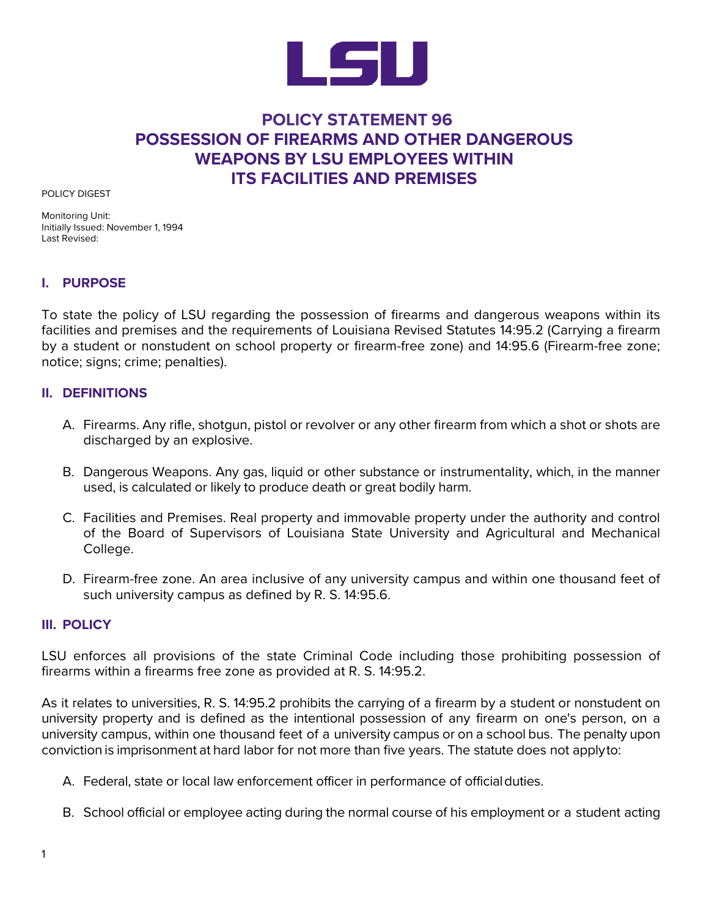

## **POLICY STATEMENT 96 POSSESSION OF FIREARMS AND OTHER DANGEROUS WEAPONS BY LSU EMPLOYEES WITHIN ITS FACILITIES AND PREMISES**

POLICY DIGEST

Monitoring Unit: Initially Issued: November 1, 1994 Last Revised:

## **I. PURPOSE**

To state the policy of LSU regarding the possession of firearms and dangerous weapons within its facilities and premises and the requirements of Louisiana Revised Statutes 14:95.2 (Carrying a firearm by a student or nonstudent on school property or firearm-free zone) and 14:95.6 (Firearm-free zone; notice; signs; crime; penalties).

## **II. DEFINITIONS**

- A. Firearms. Any rifle, shotgun, pistol or revolver or any other firearm from which a shot or shots are discharged by an explosive.
- B. Dangerous Weapons. Any gas, liquid or other substance or instrumentality, which, in the manner used, is calculated or likely to produce death or great bodily harm.
- C. Facilities and Premises. Real property and immovable property under the authority and control of the Board of Supervisors of Louisiana State University and Agricultural and Mechanical College.
- D. Firearm-free zone. An area inclusive of any university campus and within one thousand feet of such university campus as defined by R. S. 14:95.6.

## **III. POLICY**

LSU enforces all provisions of the state Criminal Code including those prohibiting possession of firearms within a firearms free zone as provided at R. S. 14:95.2.

As it relates to universities, R. S. 14:95.2 prohibits the carrying of a firearm by a student or nonstudent on university property and is defined as the intentional possession of any firearm on one's person, on a university campus, within one thousand feet of a university campus or on a school bus. The penalty upon conviction is imprisonment at hard labor for not more than five years. The statute does not applyto:

- A. Federal, state or local law enforcement officer in performance of officialduties.
- B. School official or employee acting during the normal course of his employment or a student acting